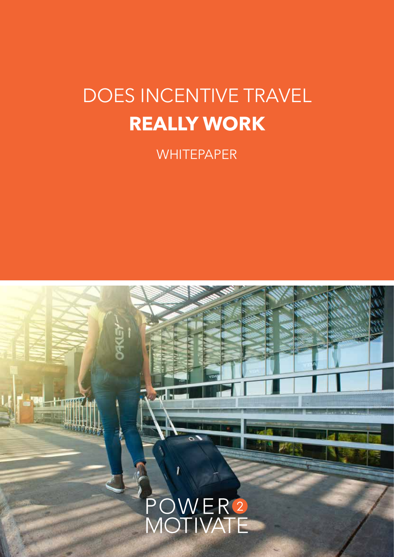## DOES INCENTIVE TRAVEL **REALLY WORK**

**WHITEPAPER** 

## POWER<sup>2</sup><br>MOTIVATE 1. DOES INCENTIVE TRAVEL REALLY WORK INCOME.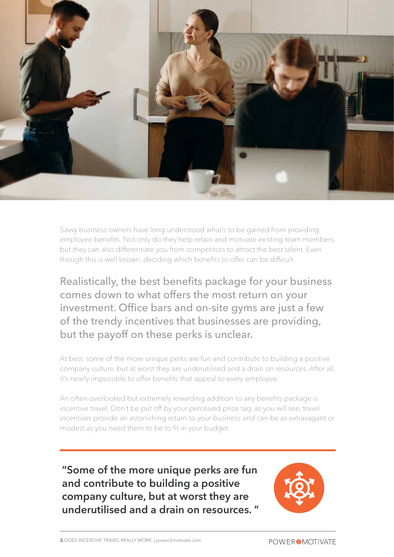

Savvy business owners have long understood what's to be gained from providing employee benefits. Not only do they help retain and motivate existing team members, but they can also differentiate you from competitors to attract the best talent. Even though this is well known, deciding which benefits to offer can be difficult.

Realistically, the best benefits package for your business comes down to what offers the most return on your investment. Office bars and on-site gyms are just a few of the trendy incentives that businesses are providing, but the payoff on these perks is unclear.

At best, some of the more unique perks are fun and contribute to building a positive company culture, but at worst they are underutilised and a drain on resources. After all, it's nearly impossible to offer benefits that appeal to every employee.

An often overlooked but extremely rewarding addition to any benefits package is incentive travel. Don't be put off by your perceived price tag, as you will see, travel incentives provide an astonishing return to your business and can be as extravagant or modest as you need them to be to fit in your budget.

**"Some of the more unique perks are fun and contribute to building a positive company culture, but at worst they are underutilised and a drain on resources. "**

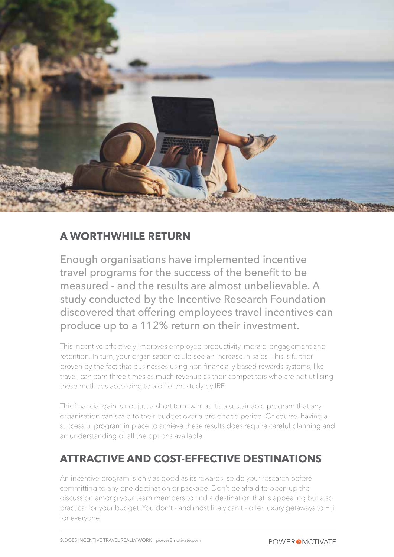

#### **A WORTHWHILE RETURN**

Enough organisations have implemented incentive travel programs for the success of the benefit to be measured - and the results are almost unbelievable. A study conducted by the Incentive Research Foundation discovered that offering employees travel incentives can produce up to a 112% return on their investment.

This incentive effectively improves employee productivity, morale, engagement and retention. In turn, your organisation could see an increase in sales. This is further proven by the fact that businesses using non-financially based rewards systems, like travel, can earn three times as much revenue as their competitors who are not utilising these methods according to a different study by IRF.

This financial gain is not just a short term win, as it's a sustainable program that any organisation can scale to their budget over a prolonged period. Of course, having a successful program in place to achieve these results does require careful planning and an understanding of all the options available.

#### **ATTRACTIVE AND COST-EFFECTIVE DESTINATIONS**

An incentive program is only as good as its rewards, so do your research before committing to any one destination or package. Don't be afraid to open up the discussion among your team members to find a destination that is appealing but also practical for your budget. You don't - and most likely can't - offer luxury getaways to Fiji for everyone!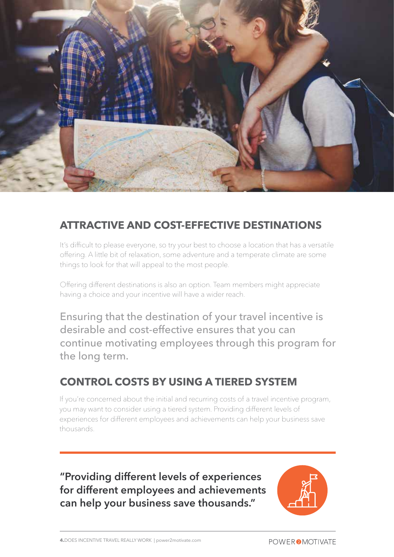

#### **ATTRACTIVE AND COST-EFFECTIVE DESTINATIONS**

It's difficult to please everyone, so try your best to choose a location that has a versatile offering. A little bit of relaxation, some adventure and a temperate climate are some things to look for that will appeal to the most people.

Offering different destinations is also an option. Team members might appreciate having a choice and your incentive will have a wider reach.

Ensuring that the destination of your travel incentive is desirable and cost-effective ensures that you can continue motivating employees through this program for the long term.

### **CONTROL COSTS BY USING A TIERED SYSTEM**

If you're concerned about the initial and recurring costs of a travel incentive program, you may want to consider using a tiered system. Providing different levels of experiences for different employees and achievements can help your business save thousands.

**"Providing different levels of experiences for different employees and achievements can help your business save thousands."**

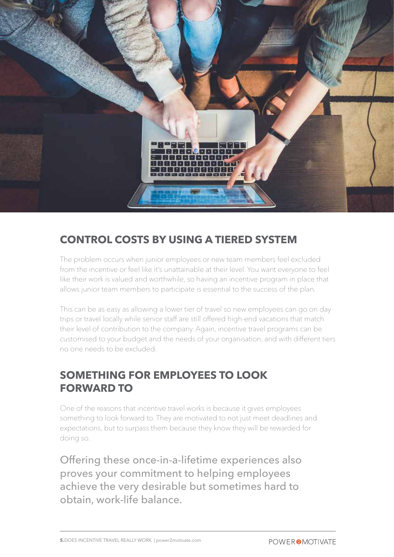

### **CONTROL COSTS BY USING A TIERED SYSTEM**

The problem occurs when junior employees or new team members feel excluded from the incentive or feel like it's unattainable at their level. You want everyone to feel like their work is valued and worthwhile, so having an incentive program in place that allows junior team members to participate is essential to the success of the plan.

This can be as easy as allowing a lower tier of travel so new employees can go on day trips or travel locally while senior staff are still offered high-end vacations that match their level of contribution to the company. Again, incentive travel programs can be customised to your budget and the needs of your organisation, and with different tiers no one needs to be excluded.

### **SOMETHING FOR EMPLOYEES TO LOOK FORWARD TO**

One of the reasons that incentive travel works is because it gives employees something to look forward to. They are motivated to not just meet deadlines and expectations, but to surpass them because they know they will be rewarded for doing so.

Offering these once-in-a-lifetime experiences also proves your commitment to helping employees achieve the very desirable but sometimes hard to obtain, work-life balance.